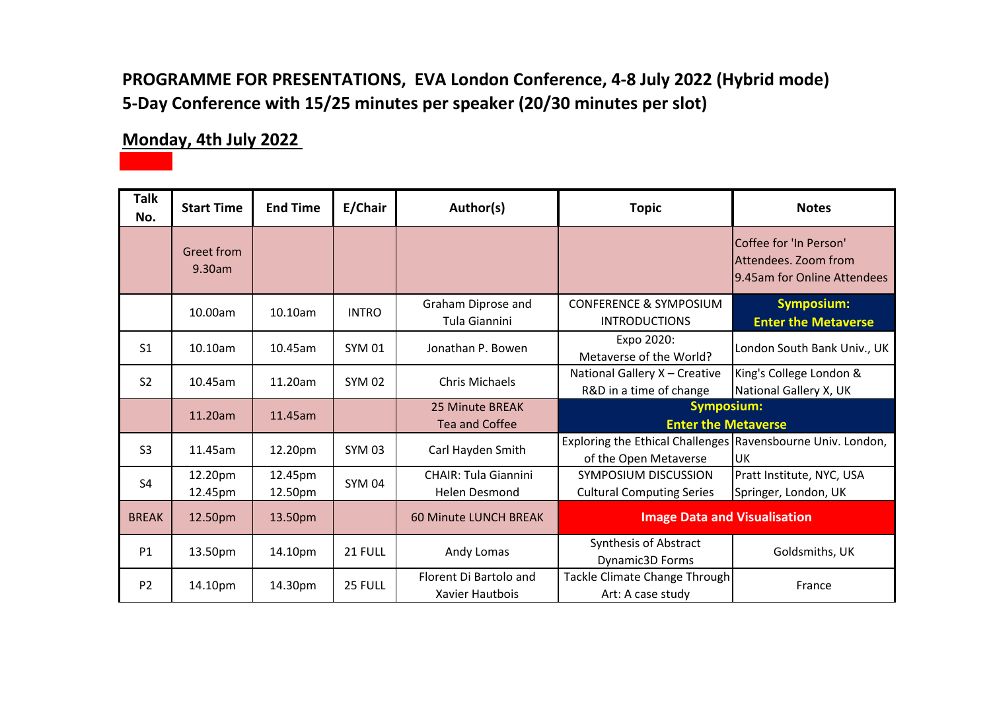### **PROGRAMME FOR PRESENTATIONS, EVA London Conference, 4-8 July 2022 (Hybrid mode) 5-Day Conference with 15/25 minutes per speaker (20/30 minutes per slot)**

#### **Monday, 4th July 2022**

| <b>Talk</b><br>No. | <b>Start Time</b>           | <b>End Time</b>    | E/Chair       | Author(s)                                           | <b>Topic</b>                                                                           | <b>Notes</b>                                                                  |
|--------------------|-----------------------------|--------------------|---------------|-----------------------------------------------------|----------------------------------------------------------------------------------------|-------------------------------------------------------------------------------|
|                    | <b>Greet from</b><br>9.30am |                    |               |                                                     |                                                                                        | Coffee for 'In Person'<br>Attendees. Zoom from<br>9.45am for Online Attendees |
|                    | 10.00am                     | 10.10am            | <b>INTRO</b>  | Graham Diprose and<br>Tula Giannini                 | <b>CONFERENCE &amp; SYMPOSIUM</b><br><b>INTRODUCTIONS</b>                              | <b>Symposium:</b><br><b>Enter the Metaverse</b>                               |
| S <sub>1</sub>     | 10.10am                     | 10.45am            | <b>SYM 01</b> | Jonathan P. Bowen                                   | Expo 2020:<br>Metaverse of the World?                                                  | London South Bank Univ., UK                                                   |
| <b>S2</b>          | 10.45am                     | 11.20am            | <b>SYM 02</b> | Chris Michaels                                      | National Gallery X - Creative<br>R&D in a time of change                               | King's College London &<br>National Gallery X, UK                             |
|                    | 11.20am                     | 11.45am            |               | 25 Minute BREAK<br>Tea and Coffee                   | <b>Symposium:</b><br><b>Enter the Metaverse</b>                                        |                                                                               |
| S <sub>3</sub>     | 11.45am                     | 12.20pm            | <b>SYM 03</b> | Carl Hayden Smith                                   | Exploring the Ethical Challenges   Ravensbourne Univ. London,<br>of the Open Metaverse | luk.                                                                          |
| S <sub>4</sub>     | 12.20pm<br>12.45pm          | 12.45pm<br>12.50pm | <b>SYM 04</b> | <b>CHAIR: Tula Giannini</b><br><b>Helen Desmond</b> | SYMPOSIUM DISCUSSION<br><b>Cultural Computing Series</b>                               | Pratt Institute, NYC, USA<br>Springer, London, UK                             |
| <b>BREAK</b>       | 12.50pm                     | 13.50pm            |               | <b>60 Minute LUNCH BREAK</b>                        | <b>Image Data and Visualisation</b>                                                    |                                                                               |
| P1                 | 13.50pm                     | 14.10pm            | 21 FULL       | Andy Lomas                                          | Synthesis of Abstract<br>Dynamic3D Forms                                               | Goldsmiths, UK                                                                |
| P <sub>2</sub>     | 14.10pm                     | 14.30pm            | 25 FULL       | Florent Di Bartolo and<br>Xavier Hautbois           | Tackle Climate Change Through<br>Art: A case study                                     | France                                                                        |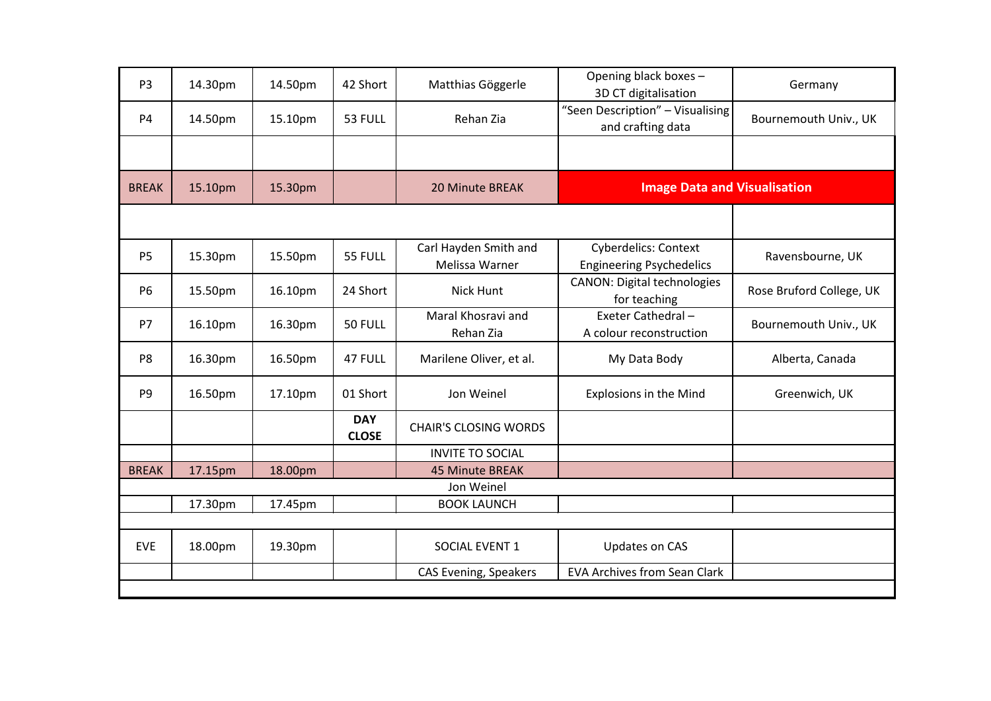| P <sub>3</sub> | 14.30pm | 14.50pm | 42 Short                   | Matthias Göggerle                       | Opening black boxes -<br>3D CT digitalisation                  | Germany                  |
|----------------|---------|---------|----------------------------|-----------------------------------------|----------------------------------------------------------------|--------------------------|
| <b>P4</b>      | 14.50pm | 15.10pm | 53 FULL                    | Rehan Zia                               | "Seen Description" - Visualising<br>and crafting data          | Bournemouth Univ., UK    |
|                |         |         |                            |                                         |                                                                |                          |
| <b>BREAK</b>   | 15.10pm | 15.30pm |                            | 20 Minute BREAK                         | <b>Image Data and Visualisation</b>                            |                          |
|                |         |         |                            |                                         |                                                                |                          |
| P <sub>5</sub> | 15.30pm | 15.50pm | 55 FULL                    | Carl Hayden Smith and<br>Melissa Warner | <b>Cyberdelics: Context</b><br><b>Engineering Psychedelics</b> | Ravensbourne, UK         |
| <b>P6</b>      | 15.50pm | 16.10pm | 24 Short                   | <b>Nick Hunt</b>                        | <b>CANON: Digital technologies</b><br>for teaching             | Rose Bruford College, UK |
| P7             | 16.10pm | 16.30pm | 50 FULL                    | Maral Khosravi and<br>Rehan Zia         | Exeter Cathedral-<br>A colour reconstruction                   | Bournemouth Univ., UK    |
| P <sub>8</sub> | 16.30pm | 16.50pm | 47 FULL                    | Marilene Oliver, et al.                 | My Data Body                                                   | Alberta, Canada          |
| P <sub>9</sub> | 16.50pm | 17.10pm | 01 Short                   | Jon Weinel                              | <b>Explosions in the Mind</b>                                  | Greenwich, UK            |
|                |         |         | <b>DAY</b><br><b>CLOSE</b> | <b>CHAIR'S CLOSING WORDS</b>            |                                                                |                          |
|                |         |         |                            | <b>INVITE TO SOCIAL</b>                 |                                                                |                          |
| <b>BREAK</b>   | 17.15pm | 18.00pm |                            | <b>45 Minute BREAK</b>                  |                                                                |                          |
|                |         |         |                            | Jon Weinel                              |                                                                |                          |
|                | 17.30pm | 17.45pm |                            | <b>BOOK LAUNCH</b>                      |                                                                |                          |
|                |         |         |                            |                                         |                                                                |                          |
| <b>EVE</b>     | 18.00pm | 19.30pm |                            | SOCIAL EVENT 1                          | Updates on CAS                                                 |                          |
|                |         |         |                            | <b>CAS Evening, Speakers</b>            | <b>EVA Archives from Sean Clark</b>                            |                          |
|                |         |         |                            |                                         |                                                                |                          |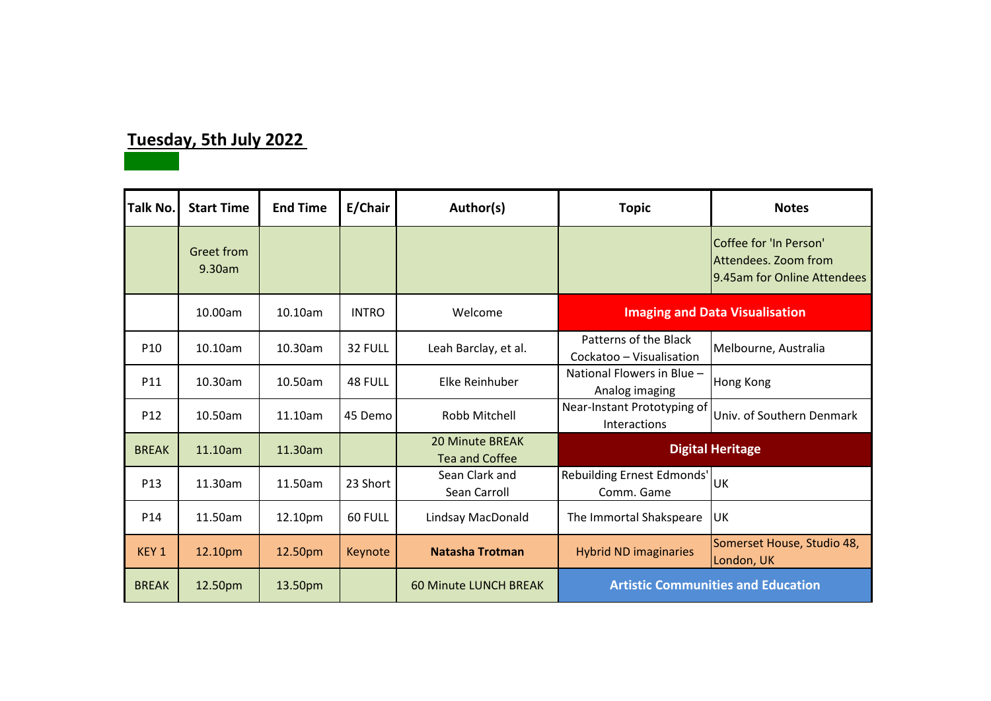## **Tuesday, 5th July 2022**

| Talk No.         | <b>Start Time</b>    | <b>End Time</b> | E/Chair      | Author(s)                                       | <b>Topic</b>                                      | <b>Notes</b>                                                                  |
|------------------|----------------------|-----------------|--------------|-------------------------------------------------|---------------------------------------------------|-------------------------------------------------------------------------------|
|                  | Greet from<br>9.30am |                 |              |                                                 |                                                   | Coffee for 'In Person'<br>Attendees. Zoom from<br>9.45am for Online Attendees |
|                  | 10.00am              | 10.10am         | <b>INTRO</b> | Welcome                                         | <b>Imaging and Data Visualisation</b>             |                                                                               |
| P <sub>10</sub>  | 10.10am              | 10.30am         | 32 FULL      | Leah Barclay, et al.                            | Patterns of the Black<br>Cockatoo - Visualisation | Melbourne, Australia                                                          |
| P11              | 10.30am              | 10.50am         | 48 FULL      | Elke Reinhuber                                  | National Flowers in Blue -<br>Analog imaging      | Hong Kong                                                                     |
| P <sub>12</sub>  | 10.50am              | 11.10am         | 45 Demo      | Robb Mitchell                                   | Near-Instant Prototyping of<br>Interactions       | Univ. of Southern Denmark                                                     |
| <b>BREAK</b>     | 11.10am              | 11.30am         |              | <b>20 Minute BREAK</b><br><b>Tea and Coffee</b> |                                                   | <b>Digital Heritage</b>                                                       |
| P <sub>13</sub>  | 11.30am              | 11.50am         | 23 Short     | Sean Clark and<br>Sean Carroll                  | Rebuilding Ernest Edmonds'<br>Comm. Game          | UK                                                                            |
| P <sub>14</sub>  | 11.50am              | 12.10pm         | 60 FULL      | Lindsay MacDonald                               | The Immortal Shakspeare                           | UK                                                                            |
| KEY <sub>1</sub> | 12.10pm              | 12.50pm         | Keynote      | <b>Natasha Trotman</b>                          | <b>Hybrid ND imaginaries</b>                      | Somerset House, Studio 48,<br>London, UK                                      |
| <b>BREAK</b>     | 12.50pm              | 13.50pm         |              | <b>60 Minute LUNCH BREAK</b>                    | <b>Artistic Communities and Education</b>         |                                                                               |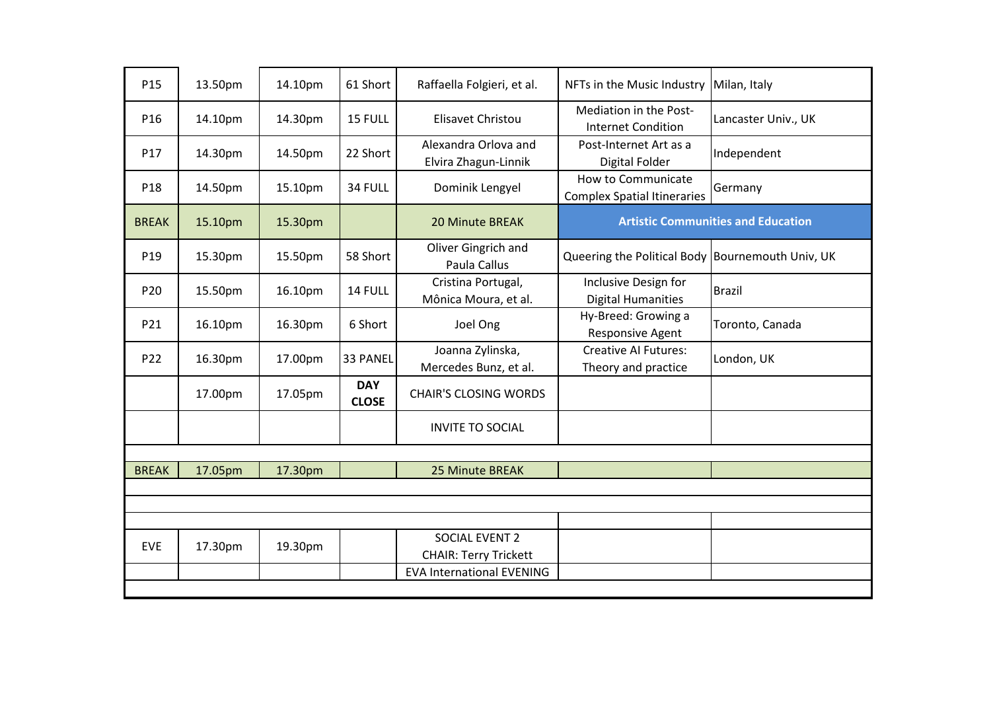| P15          | 13.50pm | 14.10pm | 61 Short                   | Raffaella Folgieri, et al.                     | NFTs in the Music Industry                               | Milan, Italy                              |
|--------------|---------|---------|----------------------------|------------------------------------------------|----------------------------------------------------------|-------------------------------------------|
| P16          | 14.10pm | 14.30pm | 15 FULL                    | Elisavet Christou                              | Mediation in the Post-<br><b>Internet Condition</b>      | Lancaster Univ., UK                       |
| P17          | 14.30pm | 14.50pm | 22 Short                   | Alexandra Orlova and<br>Elvira Zhagun-Linnik   | Post-Internet Art as a<br>Digital Folder                 | Independent                               |
| P18          | 14.50pm | 15.10pm | 34 FULL                    | Dominik Lengyel                                | How to Communicate<br><b>Complex Spatial Itineraries</b> | Germany                                   |
| <b>BREAK</b> | 15.10pm | 15.30pm |                            | <b>20 Minute BREAK</b>                         |                                                          | <b>Artistic Communities and Education</b> |
| P19          | 15.30pm | 15.50pm | 58 Short                   | Oliver Gingrich and<br>Paula Callus            | Queering the Political Body Bournemouth Univ, UK         |                                           |
| P20          | 15.50pm | 16.10pm | 14 FULL                    | Cristina Portugal,<br>Mônica Moura, et al.     | Inclusive Design for<br><b>Digital Humanities</b>        | Brazil                                    |
| P21          | 16.10pm | 16.30pm | 6 Short                    | Joel Ong                                       | Hy-Breed: Growing a<br>Responsive Agent                  | Toronto, Canada                           |
| P22          | 16.30pm | 17.00pm | 33 PANEL                   | Joanna Zylinska,<br>Mercedes Bunz, et al.      | <b>Creative AI Futures:</b><br>Theory and practice       | London, UK                                |
|              | 17.00pm | 17.05pm | <b>DAY</b><br><b>CLOSE</b> | <b>CHAIR'S CLOSING WORDS</b>                   |                                                          |                                           |
|              |         |         |                            | <b>INVITE TO SOCIAL</b>                        |                                                          |                                           |
|              |         |         |                            |                                                |                                                          |                                           |
| <b>BREAK</b> | 17.05pm | 17.30pm |                            | 25 Minute BREAK                                |                                                          |                                           |
|              |         |         |                            |                                                |                                                          |                                           |
|              |         |         |                            |                                                |                                                          |                                           |
| <b>EVE</b>   | 17.30pm | 19.30pm |                            | SOCIAL EVENT 2<br><b>CHAIR: Terry Trickett</b> |                                                          |                                           |
|              |         |         |                            | <b>EVA International EVENING</b>               |                                                          |                                           |
|              |         |         |                            |                                                |                                                          |                                           |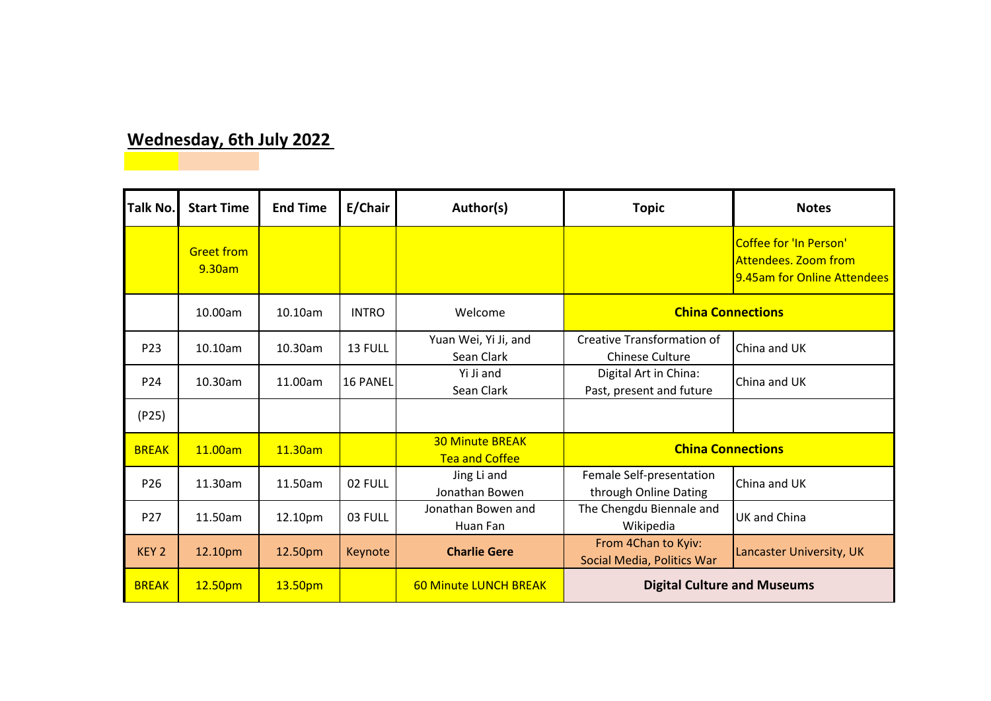## **Wednesday, 6th July 2022**

| <b>Talk No.</b>  | <b>Start Time</b>           | <b>End Time</b> | E/Chair         | Author(s)                                       | <b>Topic</b>                                                | <b>Notes</b>                                                                         |
|------------------|-----------------------------|-----------------|-----------------|-------------------------------------------------|-------------------------------------------------------------|--------------------------------------------------------------------------------------|
|                  | <b>Greet from</b><br>9.30am |                 |                 |                                                 |                                                             | <b>Coffee for 'In Person'</b><br>Attendees. Zoom from<br>9.45am for Online Attendees |
|                  | 10.00am                     | 10.10am         | <b>INTRO</b>    | Welcome                                         | <b>China Connections</b>                                    |                                                                                      |
| P <sub>23</sub>  | 10.10am                     | $10.30$ am      | 13 FULL         | Yuan Wei, Yi Ji, and<br>Sean Clark              | <b>Creative Transformation of</b><br><b>Chinese Culture</b> | China and UK                                                                         |
| P24              | $10.30$ am                  | 11.00am         | <b>16 PANEL</b> | Yi Ji and<br>Sean Clark                         | Digital Art in China:<br>Past, present and future           | China and UK                                                                         |
| (P25)            |                             |                 |                 |                                                 |                                                             |                                                                                      |
| <b>BREAK</b>     | 11.00am                     | 11.30am         |                 | <b>30 Minute BREAK</b><br><b>Tea and Coffee</b> | <b>China Connections</b>                                    |                                                                                      |
| P <sub>26</sub>  | 11.30am                     | 11.50am         | 02 FULL         | Jing Li and<br>Jonathan Bowen                   | Female Self-presentation<br>through Online Dating           | China and UK                                                                         |
| P <sub>27</sub>  | 11.50am                     | 12.10pm         | 03 FULL         | Jonathan Bowen and<br>Huan Fan                  | The Chengdu Biennale and<br>Wikipedia                       | <b>UK and China</b>                                                                  |
| KEY <sub>2</sub> | 12.10pm                     | 12.50pm         | Keynote         | <b>Charlie Gere</b>                             | From 4Chan to Kyiv:<br>Social Media, Politics War           | Lancaster University, UK                                                             |
| <b>BREAK</b>     | 12.50pm                     | 13.50pm         |                 | <b>60 Minute LUNCH BREAK</b>                    | <b>Digital Culture and Museums</b>                          |                                                                                      |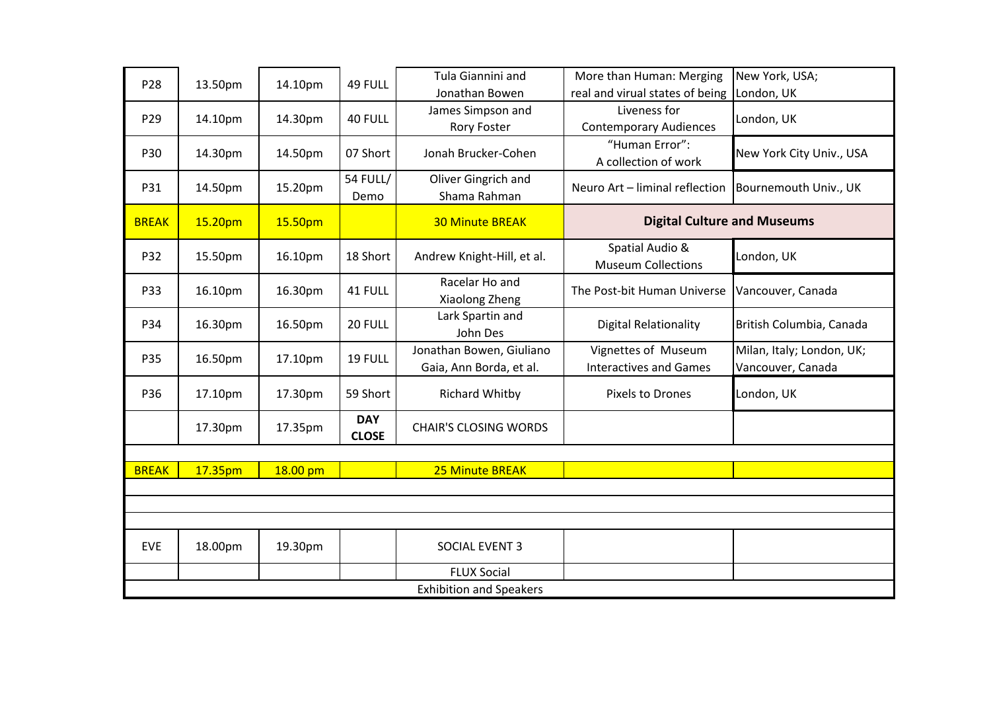| P28          | 13.50pm                        | 14.10pm  | 49 FULL                    | Tula Giannini and<br>Jonathan Bowen                 | More than Human: Merging<br>real and virual states of being | New York, USA;                                 |  |  |  |
|--------------|--------------------------------|----------|----------------------------|-----------------------------------------------------|-------------------------------------------------------------|------------------------------------------------|--|--|--|
| P29          | 14.10pm                        | 14.30pm  | 40 FULL                    | James Simpson and<br><b>Rory Foster</b>             | Liveness for<br><b>Contemporary Audiences</b>               | London, UK<br>London, UK                       |  |  |  |
| P30          | 14.30pm                        | 14.50pm  | 07 Short                   | Jonah Brucker-Cohen                                 | "Human Error":<br>A collection of work                      | New York City Univ., USA                       |  |  |  |
| P31          | 14.50pm                        | 15.20pm  | <b>54 FULL/</b><br>Demo    | Oliver Gingrich and<br>Shama Rahman                 | Neuro Art - liminal reflection                              | Bournemouth Univ., UK                          |  |  |  |
| <b>BREAK</b> | 15.20pm                        | 15.50pm  |                            | <b>30 Minute BREAK</b>                              | <b>Digital Culture and Museums</b>                          |                                                |  |  |  |
| P32          | 15.50pm                        | 16.10pm  | 18 Short                   | Andrew Knight-Hill, et al.                          | Spatial Audio &<br><b>Museum Collections</b>                | London, UK                                     |  |  |  |
| P33          | 16.10pm                        | 16.30pm  | 41 FULL                    | Racelar Ho and<br>Xiaolong Zheng                    | The Post-bit Human Universe                                 | Vancouver, Canada                              |  |  |  |
| P34          | 16.30pm                        | 16.50pm  | 20 FULL                    | Lark Spartin and<br>John Des                        | <b>Digital Relationality</b>                                | British Columbia, Canada                       |  |  |  |
| P35          | 16.50pm                        | 17.10pm  | 19 FULL                    | Jonathan Bowen, Giuliano<br>Gaia, Ann Borda, et al. | Vignettes of Museum<br><b>Interactives and Games</b>        | Milan, Italy; London, UK;<br>Vancouver, Canada |  |  |  |
| P36          | 17.10pm                        | 17.30pm  | 59 Short                   | Richard Whitby                                      | Pixels to Drones                                            | London, UK                                     |  |  |  |
|              | 17.30pm                        | 17.35pm  | <b>DAY</b><br><b>CLOSE</b> | <b>CHAIR'S CLOSING WORDS</b>                        |                                                             |                                                |  |  |  |
|              |                                |          |                            |                                                     |                                                             |                                                |  |  |  |
| <b>BREAK</b> | 17.35pm                        | 18.00 pm |                            | 25 Minute BREAK                                     |                                                             |                                                |  |  |  |
|              |                                |          |                            |                                                     |                                                             |                                                |  |  |  |
|              |                                |          |                            |                                                     |                                                             |                                                |  |  |  |
| <b>EVE</b>   | 18.00pm                        | 19.30pm  |                            | SOCIAL EVENT 3                                      |                                                             |                                                |  |  |  |
|              |                                |          |                            | <b>FLUX Social</b>                                  |                                                             |                                                |  |  |  |
|              | <b>Exhibition and Speakers</b> |          |                            |                                                     |                                                             |                                                |  |  |  |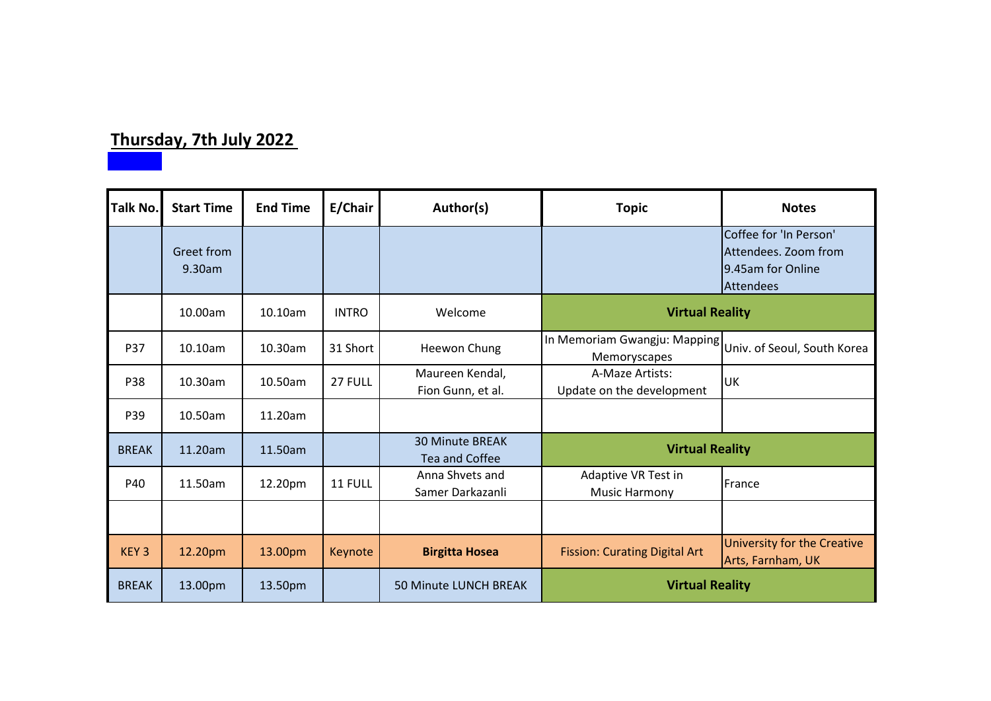# **Thursday, 7th July 2022**

| Talk No.         | <b>Start Time</b>    | <b>End Time</b> | E/Chair      | Author(s)                                       | <b>Topic</b>                                                             | <b>Notes</b>                                                                            |
|------------------|----------------------|-----------------|--------------|-------------------------------------------------|--------------------------------------------------------------------------|-----------------------------------------------------------------------------------------|
|                  | Greet from<br>9.30am |                 |              |                                                 |                                                                          | Coffee for 'In Person'<br>Attendees. Zoom from<br>9.45am for Online<br><b>Attendees</b> |
|                  | 10.00am              | 10.10am         | <b>INTRO</b> | Welcome                                         | <b>Virtual Reality</b>                                                   |                                                                                         |
| P37              | 10.10am              | 10.30am         | 31 Short     | Heewon Chung                                    | In Memoriam Gwangju: Mapping Univ. of Seoul, South Korea<br>Memoryscapes |                                                                                         |
| P38              | 10.30am              | 10.50am         | 27 FULL      | Maureen Kendal,<br>Fion Gunn, et al.            | A-Maze Artists:<br>Update on the development                             | UK                                                                                      |
| P39              | 10.50am              | 11.20am         |              |                                                 |                                                                          |                                                                                         |
| <b>BREAK</b>     | 11.20am              | 11.50am         |              | <b>30 Minute BREAK</b><br><b>Tea and Coffee</b> | <b>Virtual Reality</b>                                                   |                                                                                         |
| P40              | 11.50am              | 12.20pm         | 11 FULL      | Anna Shvets and<br>Samer Darkazanli             | Adaptive VR Test in<br><b>Music Harmony</b>                              | France                                                                                  |
|                  |                      |                 |              |                                                 |                                                                          |                                                                                         |
| KEY <sub>3</sub> | 12.20pm              | 13.00pm         | Keynote      | <b>Birgitta Hosea</b>                           | <b>Fission: Curating Digital Art</b>                                     | University for the Creative<br>Arts, Farnham, UK                                        |
| <b>BREAK</b>     | 13.00pm              | 13.50pm         |              | 50 Minute LUNCH BREAK                           | <b>Virtual Reality</b>                                                   |                                                                                         |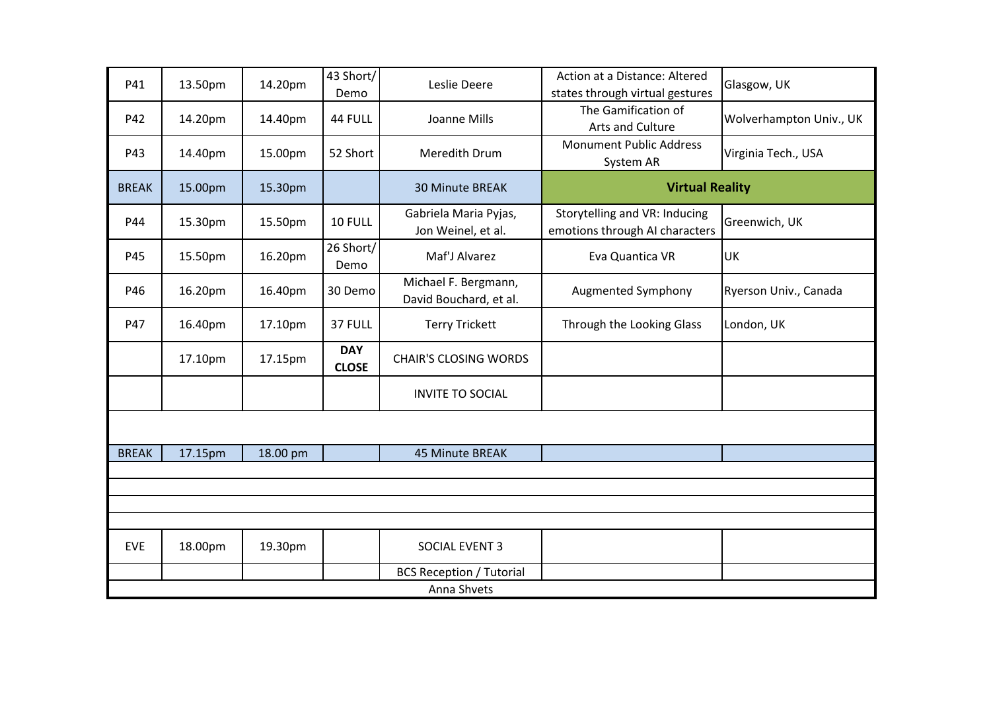| P41          | 13.50pm     | 14.20pm  | 43 Short/<br>Demo          | Leslie Deere                                   | Action at a Distance: Altered<br>states through virtual gestures | Glasgow, UK             |  |  |  |
|--------------|-------------|----------|----------------------------|------------------------------------------------|------------------------------------------------------------------|-------------------------|--|--|--|
| P42          | 14.20pm     | 14.40pm  | 44 FULL                    | Joanne Mills                                   | The Gamification of<br>Arts and Culture                          | Wolverhampton Univ., UK |  |  |  |
| P43          | 14.40pm     | 15.00pm  | 52 Short                   | Meredith Drum                                  | <b>Monument Public Address</b><br>System AR                      | Virginia Tech., USA     |  |  |  |
| <b>BREAK</b> | 15.00pm     | 15.30pm  |                            | <b>30 Minute BREAK</b>                         | <b>Virtual Reality</b>                                           |                         |  |  |  |
| P44          | 15.30pm     | 15.50pm  | 10 FULL                    | Gabriela Maria Pyjas,<br>Jon Weinel, et al.    | Storytelling and VR: Inducing<br>emotions through AI characters  | Greenwich, UK           |  |  |  |
| P45          | 15.50pm     | 16.20pm  | 26 Short/<br>Demo          | Maf'J Alvarez                                  | Eva Quantica VR                                                  | UK                      |  |  |  |
| P46          | 16.20pm     | 16.40pm  | 30 Demo                    | Michael F. Bergmann,<br>David Bouchard, et al. | Augmented Symphony                                               | Ryerson Univ., Canada   |  |  |  |
| P47          | 16.40pm     | 17.10pm  | 37 FULL                    | <b>Terry Trickett</b>                          | Through the Looking Glass                                        | London, UK              |  |  |  |
|              | 17.10pm     | 17.15pm  | <b>DAY</b><br><b>CLOSE</b> | <b>CHAIR'S CLOSING WORDS</b>                   |                                                                  |                         |  |  |  |
|              |             |          |                            | <b>INVITE TO SOCIAL</b>                        |                                                                  |                         |  |  |  |
|              |             |          |                            |                                                |                                                                  |                         |  |  |  |
| <b>BREAK</b> | 17.15pm     | 18.00 pm |                            | 45 Minute BREAK                                |                                                                  |                         |  |  |  |
|              |             |          |                            |                                                |                                                                  |                         |  |  |  |
|              |             |          |                            |                                                |                                                                  |                         |  |  |  |
|              |             |          |                            |                                                |                                                                  |                         |  |  |  |
| <b>EVE</b>   | 18.00pm     | 19.30pm  |                            | SOCIAL EVENT 3                                 |                                                                  |                         |  |  |  |
|              |             |          |                            | <b>BCS Reception / Tutorial</b>                |                                                                  |                         |  |  |  |
|              | Anna Shvets |          |                            |                                                |                                                                  |                         |  |  |  |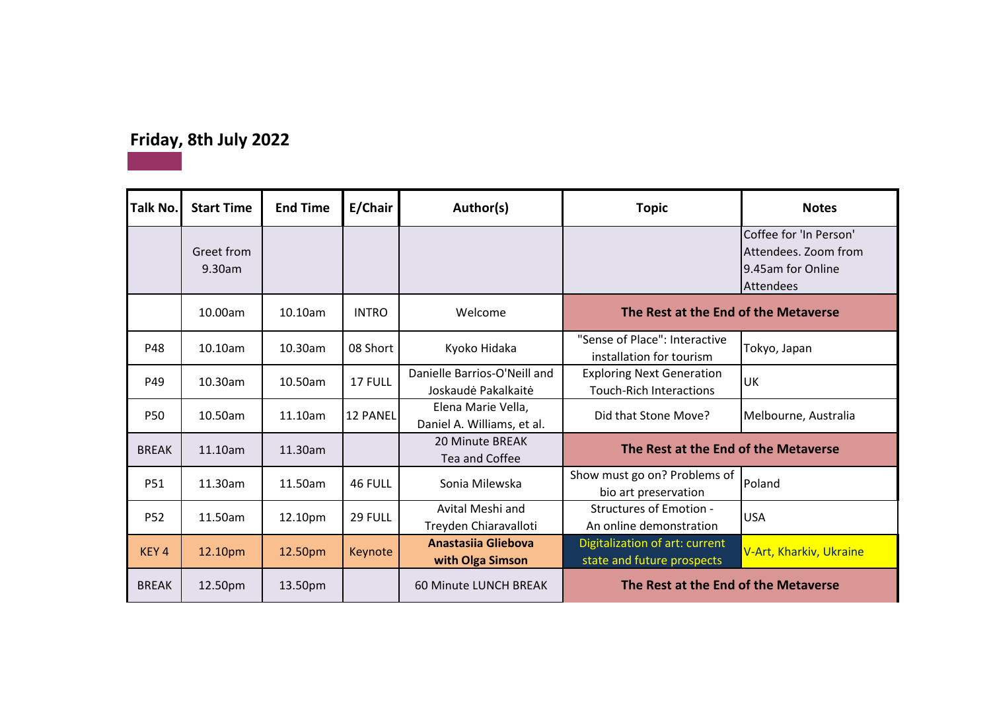# **Friday, 8th July 2022**

| <b>Talk No.</b>  | <b>Start Time</b>    | <b>End Time</b> | E/Chair         | Author(s)                                           | <b>Topic</b>                                                       | <b>Notes</b>                                                                     |
|------------------|----------------------|-----------------|-----------------|-----------------------------------------------------|--------------------------------------------------------------------|----------------------------------------------------------------------------------|
|                  | Greet from<br>9.30am |                 |                 |                                                     |                                                                    | Coffee for 'In Person'<br>Attendees. Zoom from<br>9.45am for Online<br>Attendees |
|                  | 10.00am              | 10.10am         | <b>INTRO</b>    | Welcome                                             | The Rest at the End of the Metaverse                               |                                                                                  |
| P48              | 10.10am              | 10.30am         | 08 Short        | Kyoko Hidaka                                        | "Sense of Place": Interactive<br>installation for tourism          | Tokyo, Japan                                                                     |
| P49              | 10.30am              | 10.50am         | 17 FULL         | Danielle Barrios-O'Neill and<br>Joskaudė Pakalkaitė | <b>Exploring Next Generation</b><br><b>Touch-Rich Interactions</b> | UK                                                                               |
| <b>P50</b>       | 10.50am              | 11.10am         | <b>12 PANEL</b> | Elena Marie Vella,<br>Daniel A. Williams, et al.    | Did that Stone Move?                                               | Melbourne, Australia                                                             |
| <b>BREAK</b>     | 11.10am              | 11.30am         |                 | 20 Minute BREAK<br>Tea and Coffee                   | The Rest at the End of the Metaverse                               |                                                                                  |
| <b>P51</b>       | 11.30am              | 11.50am         | 46 FULL         | Sonia Milewska                                      | Show must go on? Problems of<br>bio art preservation               | Poland                                                                           |
| <b>P52</b>       | 11.50am              | 12.10pm         | 29 FULL         | Avital Meshi and<br>Treyden Chiaravalloti           | <b>Structures of Emotion -</b><br>An online demonstration          | <b>USA</b>                                                                       |
| KEY <sub>4</sub> | 12.10pm              | 12.50pm         | Keynote         | Anastasija Gliebova<br>with Olga Simson             | Digitalization of art: current<br>state and future prospects       | V-Art, Kharkiv, Ukraine                                                          |
| <b>BREAK</b>     | 12.50pm              | 13.50pm         |                 | <b>60 Minute LUNCH BREAK</b>                        | The Rest at the End of the Metaverse                               |                                                                                  |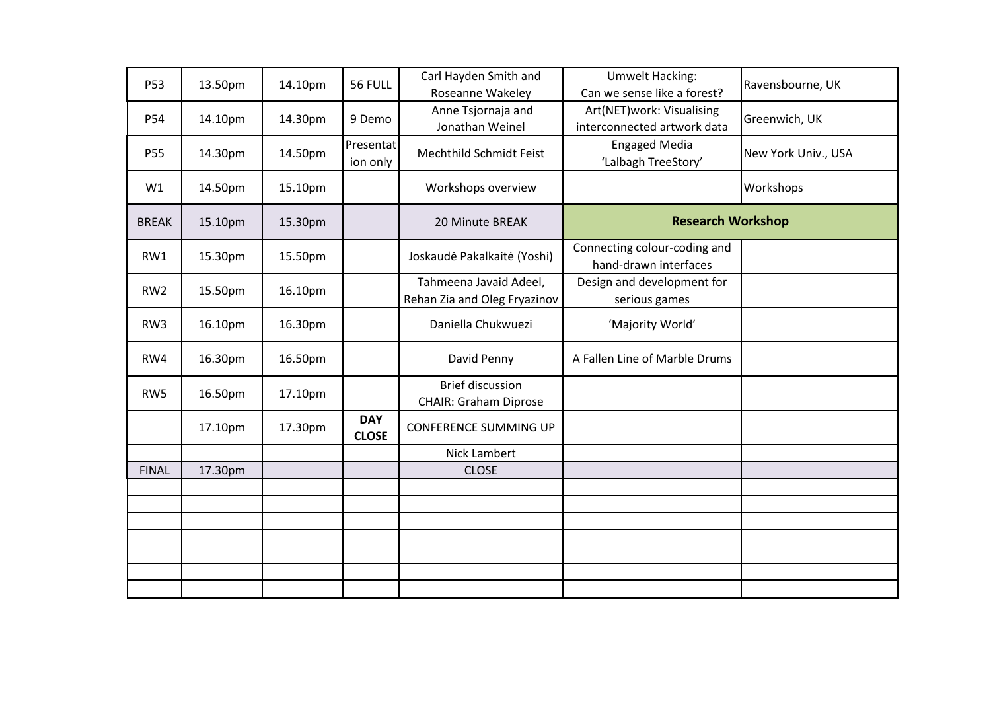| P53             | 13.50pm | 14.10pm | 56 FULL                    | Carl Hayden Smith and<br>Roseanne Wakeley               | <b>Umwelt Hacking:</b><br>Can we sense like a forest?    | Ravensbourne, UK    |
|-----------------|---------|---------|----------------------------|---------------------------------------------------------|----------------------------------------------------------|---------------------|
| P54             | 14.10pm | 14.30pm | 9 Demo                     | Anne Tsjornaja and<br>Jonathan Weinel                   | Art(NET)work: Visualising<br>interconnected artwork data | Greenwich, UK       |
| P55             | 14.30pm | 14.50pm | Presentat<br>ion only      | Mechthild Schmidt Feist                                 | <b>Engaged Media</b><br>'Lalbagh TreeStory'              | New York Univ., USA |
| W1              | 14.50pm | 15.10pm |                            | Workshops overview                                      |                                                          | Workshops           |
| <b>BREAK</b>    | 15.10pm | 15.30pm |                            | 20 Minute BREAK                                         | <b>Research Workshop</b>                                 |                     |
| RW1             | 15.30pm | 15.50pm |                            | Joskaudė Pakalkaitė (Yoshi)                             | Connecting colour-coding and<br>hand-drawn interfaces    |                     |
| RW <sub>2</sub> | 15.50pm | 16.10pm |                            | Tahmeena Javaid Adeel,<br>Rehan Zia and Oleg Fryazinov  | Design and development for<br>serious games              |                     |
| RW3             | 16.10pm | 16.30pm |                            | Daniella Chukwuezi                                      | 'Majority World'                                         |                     |
| RW4             | 16.30pm | 16.50pm |                            | David Penny                                             | A Fallen Line of Marble Drums                            |                     |
| RW5             | 16.50pm | 17.10pm |                            | <b>Brief discussion</b><br><b>CHAIR: Graham Diprose</b> |                                                          |                     |
|                 | 17.10pm | 17.30pm | <b>DAY</b><br><b>CLOSE</b> | <b>CONFERENCE SUMMING UP</b>                            |                                                          |                     |
|                 |         |         |                            | Nick Lambert                                            |                                                          |                     |
| <b>FINAL</b>    | 17.30pm |         |                            | <b>CLOSE</b>                                            |                                                          |                     |
|                 |         |         |                            |                                                         |                                                          |                     |
|                 |         |         |                            |                                                         |                                                          |                     |
|                 |         |         |                            |                                                         |                                                          |                     |
|                 |         |         |                            |                                                         |                                                          |                     |
|                 |         |         |                            |                                                         |                                                          |                     |
|                 |         |         |                            |                                                         |                                                          |                     |